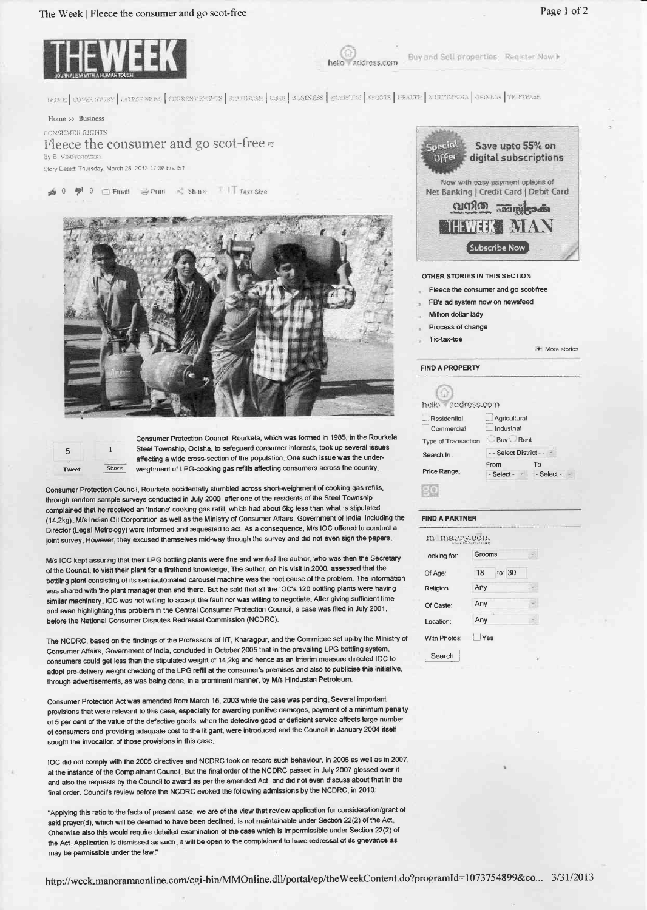## The Week | Fleece the consumer and go scot-free



Buy and Sell properties Register Now I address com

HOME COVER STORY LATEST NEWS CORRENT EVENTS | STATESCAN | CAGE | BUSINESS | QUEBURE | SPORTS | HEALTH | MULTIMEDIA | OPINION | TRIPTEASE

Home >> Business

CONSUMER RIGHTS Fleece the consumer and go scot-free By B Valdyanathar Story Dated: Thursday, March 28, 2013 17:36 hrs IST

TIT Text Size as 0 <del>2</del><sup>8</sup> 0 □ Email → Print Share





Consumer Protection Council, Rourkela, which was formed in 1985, in the Rourkela Steel Township, Odisha, to safeguard consumer interests, took up several issues affecting a wide cross-section of the population. One such issue was the underweighment of LPG-cooking gas refills affecting consumers across the country.

Consumer Protection Council, Rourkela accidentally stumbled across short-weighment of cooking gas refills, through random sample surveys conducted in July 2000, after one of the residents of the Steel Township complained that he received an 'Indane' cooking gas refill, which had about 6kg less than what is stipulated (14.2kg). M/s Indian Oil Corporation as well as the Ministry of Consumer Affairs, Government of India, including the Director (Legal Metrology) were informed and requested to act. As a consequence, M/s IOC offered to conduct a joint survey. However, they excused themselves mid-way through the survey and did not even sign the papers.

M/s IOC kept assuring that their LPG bottling plants were fine and wanted the author, who was then the Secretary of the Council, to visit their plant for a firsthand knowledge. The author, on his visit in 2000, assessed that the bottling plant consisting of its semiautomated carousel machine was the root cause of the problem. The information was shared with the plant manager then and there. But he said that all the IOC's 120 bottling plants were having similar machinery. IOC was not willing to accept the fault nor was willing to negotiate. After giving sufficient time and even highlighting this problem in the Central Consumer Protection Council, a case was filed in July 2001, before the National Consumer Disputes Redressal Commission (NCDRC).

The NCDRC, based on the findings of the Professors of IIT, Kharagpur, and the Committee set up by the Ministry of Consumer Affairs, Government of India, concluded in October 2005 that in the prevailing LPG bottling system, consumers could get less than the stipulated weight of 14.2kg and hence as an interim measure directed IOC to adopt pre-delivery weight checking of the LPG refill at the consumer's premises and also to publicise this initiative, through advertisements, as was being done, in a prominent manner, by M/s Hindustan Petroleum.

Consumer Protection Act was amended from March 15, 2003 while the case was pending. Several important provisions that were relevant to this case, especially for awarding punitive damages, payment of a minimum penalty of 5 per cent of the value of the defective goods, when the defective good or deficient service affects large number of consumers and providing adequate cost to the litigant, were introduced and the Council in January 2004 itself sought the invocation of those provisions in this case.

1OC did not comply with the 2005 directives and NCDRC took on record such behaviour, in 2006 as well as in 2007, at the instance of the Complainant Council. But the final order of the NCDRC passed in July 2007 glossed over it and also the requests by the Council to award as per the amended Act, and did not even discuss about that in the final order. Council's review before the NCDRC evoked the following admissions by the NCDRC, in 2010:

"Applying this ratio to the facts of present case, we are of the view that review application for consideration/grant of said prayer(d), which will be deemed to have been declined, is not maintainable under Section 22(2) of the Act. Otherwise also this would require detailed examination of the case which is impermissible under Section 22(2) of the Act. Application is dismissed as such. It will be open to the complainant to have redressal of its grievance as may be permissible under the law."



**OTHER STORIES IN THIS SECTION** 

- Fleece the consumer and go scot-free
- FR's ad system now on newsfeed
- Million dollar lady

Tic-tax-toe

Process of change

More stories

## **FIND A PROPERTY**

| hello address.com         |                            |            |  |
|---------------------------|----------------------------|------------|--|
| Residential<br>Commercial | Agricultural<br>Industrial |            |  |
| Type of Transaction       | Buy Rent                   |            |  |
| Search In:                | - - Select District - - -  |            |  |
| Price Range:              | From                       | Tο         |  |
|                           | $-$ Select - $\cdot$       | - Select - |  |
|                           |                            |            |  |

## **FIND A PARTNER**

| ooking for:  | Grooms       |  |
|--------------|--------------|--|
| of Age:      | to: 30<br>18 |  |
| teligion:    | Any          |  |
| of Caste:    | Any          |  |
| ocation:     | Any          |  |
| Vith Photos: | Yes          |  |

http://week.manoramaonline.com/cgi-bin/MMOnline.dll/portal/ep/theWeekContent.do?programId=1073754899&co... 3/31/2013